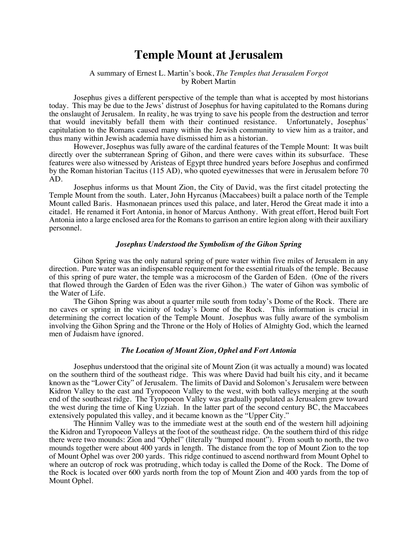# **Temple Mount at Jerusalem**

# A summary of Ernest L. Martin's book, *The Temples that Jerusalem Forgot*  by Robert Martin

Josephus gives a different perspective of the temple than what is accepted by most historians today. This may be due to the Jews' distrust of Josephus for having capitulated to the Romans during the onslaught of Jerusalem. In reality, he was trying to save his people from the destruction and terror that would inevitably befall them with their continued resistance. Unfortunately, Josephus' capitulation to the Romans caused many within the Jewish community to view him as a traitor, and thus many within Jewish academia have dismissed him as a historian.

However, Josephus was fully aware of the cardinal features of the Temple Mount: It was built directly over the subterranean Spring of Gihon, and there were caves within its subsurface. These features were also witnessed by Aristeas of Egypt three hundred years before Josephus and confirmed by the Roman historian Tacitus (115 AD), who quoted eyewitnesses that were in Jerusalem before 70 AD.

Josephus informs us that Mount Zion, the City of David, was the first citadel protecting the Temple Mount from the south. Later, John Hyrcanus (Maccabees) built a palace north of the Temple Mount called Baris. Hasmonaean princes used this palace, and later, Herod the Great made it into a citadel. He renamed it Fort Antonia, in honor of Marcus Anthony. With great effort, Herod built Fort Antonia into a large enclosed area for the Romans to garrison an entire legion along with their auxiliary personnel.

## *Josephus Understood the Symbolism of the Gihon Spring*

Gihon Spring was the only natural spring of pure water within five miles of Jerusalem in any direction. Pure water was an indispensable requirement for the essential rituals of the temple. Because of this spring of pure water, the temple was a microcosm of the Garden of Eden. (One of the rivers that flowed through the Garden of Eden was the river Gihon.) The water of Gihon was symbolic of the Water of Life.

The Gihon Spring was about a quarter mile south from today's Dome of the Rock. There are no caves or spring in the vicinity of today's Dome of the Rock. This information is crucial in determining the correct location of the Temple Mount. Josephus was fully aware of the symbolism involving the Gihon Spring and the Throne or the Holy of Holies of Almighty God, which the learned men of Judaism have ignored.

#### *The Location of Mount Zion, Ophel and Fort Antonia*

Josephus understood that the original site of Mount Zion (it was actually a mound) was located on the southern third of the southeast ridge. This was where David had built his city, and it became known as the "Lower City" of Jerusalem. The limits of David and Solomon's Jerusalem were between Kidron Valley to the east and Tyropoeon Valley to the west, with both valleys merging at the south end of the southeast ridge. The Tyropoeon Valley was gradually populated as Jerusalem grew toward the west during the time of King Uzziah. In the latter part of the second century BC, the Maccabees extensively populated this valley, and it became known as the "Upper City."

The Hinnim Valley was to the immediate west at the south end of the western hill adjoining the Kidron and Tyropoeon Valleys at the foot of the southeast ridge. On the southern third of this ridge there were two mounds: Zion and "Ophel" (literally "humped mount"). From south to north, the two mounds together were about 400 yards in length. The distance from the top of Mount Zion to the top of Mount Ophel was over 200 yards. This ridge continued to ascend northward from Mount Ophel to where an outcrop of rock was protruding, which today is called the Dome of the Rock. The Dome of the Rock is located over 600 yards north from the top of Mount Zion and 400 yards from the top of Mount Ophel.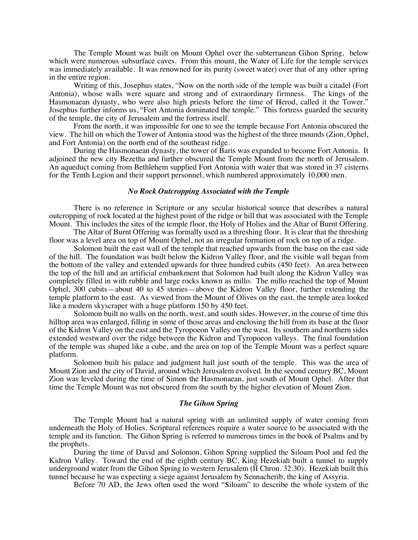The Temple Mount was built on Mount Ophel over the subterranean Gihon Spring, below which were numerous subsurface caves. From this mount, the Water of Life for the temple services was immediately available. It was renowned for its purity (sweet water) over that of any other spring in the entire region.

Writing of this, Josephus states, "Now on the north side of the temple was built a citadel (Fort Antonia), whose walls were square and strong and of extraordinary firmness. The kings of the Hasmonaean dynasty, who were also high priests before the time of Herod, called it the Tower." Josephus further informs us, "Fort Antonia dominated the temple." This fortress guarded the security of the temple, the city of Jerusalem and the fortress itself.

From the north, it was impossible for one to see the temple because Fort Antonia obscured the view. The hill on which the Tower of Antonia stood was the highest of the three mounds (Zion, Ophel, and Fort Antonia) on the north end of the southeast ridge.

During the Hasmonaean dynasty, the tower of Baris was expanded to become Fort Antonia. It adjoined the new city Bezetha and further obscured the Temple Mount from the north of Jerusalem. An aqueduct coming from Bethlehem supplied Fort Antonia with water that was stored in 37 cisterns for the Tenth Legion and their support personnel, which numbered approximately 10,000 men.

# *No Rock Outcropping Associated with the Temple*

There is no reference in Scripture or any secular historical source that describes a natural outcropping of rock located at the highest point of the ridge or hill that was associated with the Temple Mount. This includes the sites of the temple floor, the Holy of Holies and the Altar of Burnt Offering.

The Altar of Burnt Offering was formally used as a threshing floor. It is clear that the threshing floor was a level area on top of Mount Ophel, not an irregular formation of rock on top of a ridge.

Solomon built the east wall of the temple that reached upwards from the base on the east side of the hill. The foundation was built below the Kidron Valley floor, and the visible wall began from the bottom of the valley and extended upwards for three hundred cubits (450 feet). An area between the top of the hill and an artificial embankment that Solomon had built along the Kidron Valley was completely filled in with rubble and large rocks known as millo. The millo reached the top of Mount Ophel, 300 cubits—about 40 to 45 stories—above the Kidron Valley floor, further extending the temple platform to the east. As viewed from the Mount of Olives on the east, the temple area looked like a modern skyscraper with a huge platform 150 by 450 feet.

Solomon built no walls on the north, west, and south sides. However, in the course of time this hilltop area was enlarged, filling in some of those areas and enclosing the hill from its base at the floor of the Kidron Valley on the east and the Tyropoeon Valley on the west. Its southern and northern sides extended westward over the ridge between the Kidron and Tyropoeon valleys. The final foundation of the temple was shaped like a cube, and the area on top of the Temple Mount was a perfect square platform.

Solomon built his palace and judgment hall just south of the temple. This was the area of Mount Zion and the city of David, around which Jerusalem evolved. In the second century BC, Mount Zion was leveled during the time of Simon the Hasmonaean, just south of Mount Ophel. After that time the Temple Mount was not obscured from the south by the higher elevation of Mount Zion.

#### *The Gihon Spring*

The Temple Mount had a natural spring with an unlimited supply of water coming from underneath the Holy of Holies. Scriptural references require a water source to be associated with the temple and its function. The Gihon Spring is referred to numerous times in the book of Psalms and by the prophets.

During the time of David and Solomon, Gihon Spring supplied the Siloam Pool and fed the Kidron Valley. Toward the end of the eighth century BC, King Hezekiah built a tunnel to supply underground water from the Gihon Spring to western Jerusalem (II Chron. 32:30). Hezekiah built this tunnel because he was expecting a siege against Jerusalem by Sennacherib, the king of Assyria.

Before 70 AD, the Jews often used the word "Siloam" to describe the whole system of the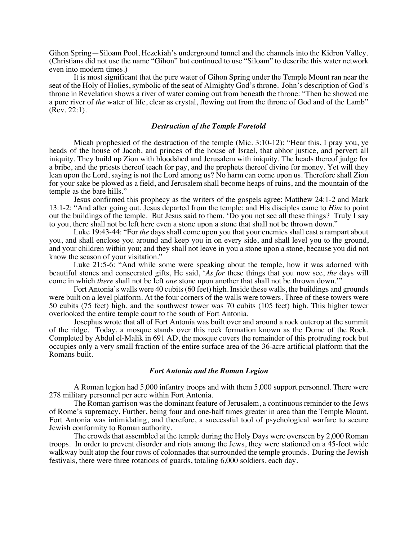Gihon Spring—Siloam Pool, Hezekiah's underground tunnel and the channels into the Kidron Valley. (Christians did not use the name "Gihon" but continued to use "Siloam" to describe this water network even into modern times.)

It is most significant that the pure water of Gihon Spring under the Temple Mount ran near the seat of the Holy of Holies, symbolic of the seat of Almighty God's throne. John's description of God's throne in Revelation shows a river of water coming out from beneath the throne: "Then he showed me a pure river of *the* water of life, clear as crystal, flowing out from the throne of God and of the Lamb" (Rev. 22:1).

## *Destruction of the Temple Foretold*

Micah prophesied of the destruction of the temple (Mic. 3:10-12): "Hear this, I pray you, ye heads of the house of Jacob, and princes of the house of Israel, that abhor justice, and pervert all iniquity. They build up Zion with bloodshed and Jerusalem with iniquity. The heads thereof judge for a bribe, and the priests thereof teach for pay, and the prophets thereof divine for money. Yet will they lean upon the Lord, saying is not the Lord among us? No harm can come upon us. Therefore shall Zion for your sake be plowed as a field, and Jerusalem shall become heaps of ruins, and the mountain of the temple as the bare hills."

Jesus confirmed this prophecy as the writers of the gospels agree: Matthew 24:1-2 and Mark 13:1-2: "And after going out, Jesus departed from the temple; and His disciples came to *Him* to point out the buildings of the temple. But Jesus said to them. 'Do you not see all these things? Truly I say to you, there shall not be left here even a stone upon a stone that shall not be thrown down."

Luke 19:43-44: "For *the* days shall come upon you that your enemies shall cast a rampart about you, and shall enclose you around and keep you in on every side, and shall level you to the ground, and your children within you; and they shall not leave in you a stone upon a stone, because you did not know the season of your visitation."

Luke 21:5-6: "And while some were speaking about the temple, how it was adorned with beautiful stones and consecrated gifts, He said, '*As for* these things that you now see, *the* days will come in which *there* shall not be left *one* stone upon another that shall not be thrown down.'"

Fort Antonia's walls were 40 cubits (60 feet) high. Inside these walls, the buildings and grounds were built on a level platform. At the four corners of the walls were towers. Three of these towers were 50 cubits (75 feet) high, and the southwest tower was 70 cubits (105 feet) high. This higher tower overlooked the entire temple court to the south of Fort Antonia.

Josephus wrote that all of Fort Antonia was built over and around a rock outcrop at the summit of the ridge. Today, a mosque stands over this rock formation known as the Dome of the Rock. Completed by Abdul el-Malik in 691 AD, the mosque covers the remainder of this protruding rock but occupies only a very small fraction of the entire surface area of the 36-acre artificial platform that the Romans built.

# *Fort Antonia and the Roman Legion*

A Roman legion had 5,000 infantry troops and with them 5,000 support personnel. There were 278 military personnel per acre within Fort Antonia.

The Roman garrison was the dominant feature of Jerusalem, a continuous reminder to the Jews of Rome's supremacy. Further, being four and one-half times greater in area than the Temple Mount, Fort Antonia was intimidating, and therefore, a successful tool of psychological warfare to secure Jewish conformity to Roman authority.

The crowds that assembled at the temple during the Holy Days were overseen by 2,000 Roman troops. In order to prevent disorder and riots among the Jews, they were stationed on a 45-foot wide walkway built atop the four rows of colonnades that surrounded the temple grounds. During the Jewish festivals, there were three rotations of guards, totaling 6,000 soldiers, each day.